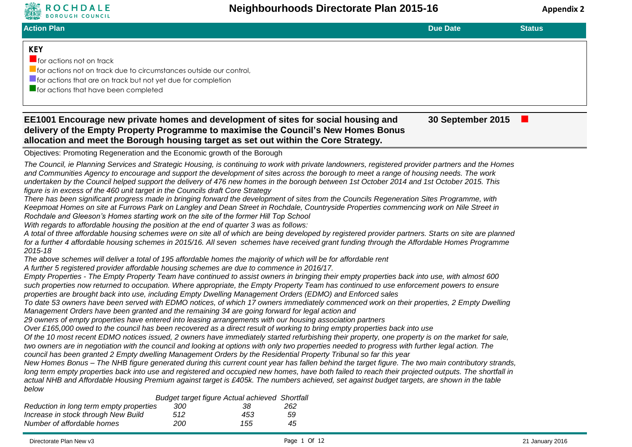

| <b>BOROUGH COUNCIL</b>                                                                                                                                                                                                                                                                                                                                                                                                                                                                                                                                                                                                                                                                                                                                                                                                                                                                                                                                                                                                                                                                                                                                                                                                                                                                                                                                                                                                                                                                                                                                                                                                                                                                                                                                                                                                                                                                                                                                                                                                                                                                                                                                                                                                                                                                                                                                                                                                                                                                                                                                                                                                                                                                                                                                                                                                                                                                                                                                                                                                                                                                                                                                                                                                                                                                                                                               |            |                                                       |           |                   |               |
|------------------------------------------------------------------------------------------------------------------------------------------------------------------------------------------------------------------------------------------------------------------------------------------------------------------------------------------------------------------------------------------------------------------------------------------------------------------------------------------------------------------------------------------------------------------------------------------------------------------------------------------------------------------------------------------------------------------------------------------------------------------------------------------------------------------------------------------------------------------------------------------------------------------------------------------------------------------------------------------------------------------------------------------------------------------------------------------------------------------------------------------------------------------------------------------------------------------------------------------------------------------------------------------------------------------------------------------------------------------------------------------------------------------------------------------------------------------------------------------------------------------------------------------------------------------------------------------------------------------------------------------------------------------------------------------------------------------------------------------------------------------------------------------------------------------------------------------------------------------------------------------------------------------------------------------------------------------------------------------------------------------------------------------------------------------------------------------------------------------------------------------------------------------------------------------------------------------------------------------------------------------------------------------------------------------------------------------------------------------------------------------------------------------------------------------------------------------------------------------------------------------------------------------------------------------------------------------------------------------------------------------------------------------------------------------------------------------------------------------------------------------------------------------------------------------------------------------------------------------------------------------------------------------------------------------------------------------------------------------------------------------------------------------------------------------------------------------------------------------------------------------------------------------------------------------------------------------------------------------------------------------------------------------------------------------------------------------------------|------------|-------------------------------------------------------|-----------|-------------------|---------------|
| <b>Action Plan</b>                                                                                                                                                                                                                                                                                                                                                                                                                                                                                                                                                                                                                                                                                                                                                                                                                                                                                                                                                                                                                                                                                                                                                                                                                                                                                                                                                                                                                                                                                                                                                                                                                                                                                                                                                                                                                                                                                                                                                                                                                                                                                                                                                                                                                                                                                                                                                                                                                                                                                                                                                                                                                                                                                                                                                                                                                                                                                                                                                                                                                                                                                                                                                                                                                                                                                                                                   |            |                                                       |           | <b>Due Date</b>   | <b>Status</b> |
| <b>KEY</b><br>$\blacksquare$ for actions not on track<br><b>For actions not on track due to circumstances outside our control,</b><br><b>If or actions that are on track but not yet due for completion</b><br>$\blacksquare$ for actions that have been completed                                                                                                                                                                                                                                                                                                                                                                                                                                                                                                                                                                                                                                                                                                                                                                                                                                                                                                                                                                                                                                                                                                                                                                                                                                                                                                                                                                                                                                                                                                                                                                                                                                                                                                                                                                                                                                                                                                                                                                                                                                                                                                                                                                                                                                                                                                                                                                                                                                                                                                                                                                                                                                                                                                                                                                                                                                                                                                                                                                                                                                                                                   |            |                                                       |           |                   |               |
| EE1001 Encourage new private homes and development of sites for social housing and<br>delivery of the Empty Property Programme to maximise the Council's New Homes Bonus<br>allocation and meet the Borough housing target as set out within the Core Strategy.                                                                                                                                                                                                                                                                                                                                                                                                                                                                                                                                                                                                                                                                                                                                                                                                                                                                                                                                                                                                                                                                                                                                                                                                                                                                                                                                                                                                                                                                                                                                                                                                                                                                                                                                                                                                                                                                                                                                                                                                                                                                                                                                                                                                                                                                                                                                                                                                                                                                                                                                                                                                                                                                                                                                                                                                                                                                                                                                                                                                                                                                                      |            |                                                       |           | 30 September 2015 |               |
| Objectives: Promoting Regeneration and the Economic growth of the Borough                                                                                                                                                                                                                                                                                                                                                                                                                                                                                                                                                                                                                                                                                                                                                                                                                                                                                                                                                                                                                                                                                                                                                                                                                                                                                                                                                                                                                                                                                                                                                                                                                                                                                                                                                                                                                                                                                                                                                                                                                                                                                                                                                                                                                                                                                                                                                                                                                                                                                                                                                                                                                                                                                                                                                                                                                                                                                                                                                                                                                                                                                                                                                                                                                                                                            |            |                                                       |           |                   |               |
| The Council, ie Planning Services and Strategic Housing, is continuing to work with private landowners, registered provider partners and the Homes<br>and Communities Agency to encourage and support the development of sites across the borough to meet a range of housing needs. The work<br>undertaken by the Council helped support the delivery of 476 new homes in the borough between 1st October 2014 and 1st October 2015. This<br>figure is in excess of the 460 unit target in the Councils draft Core Strategy<br>There has been significant progress made in bringing forward the development of sites from the Councils Regeneration Sites Programme, with<br>Keepmoat Homes on site at Furrows Park on Langley and Dean Street in Rochdale, Countryside Properties commencing work on Nile Street in<br>Rochdale and Gleeson's Homes starting work on the site of the former Hill Top School<br>With regards to affordable housing the position at the end of quarter 3 was as follows:<br>A total of three affordable housing schemes were on site all of which are being developed by registered provider partners. Starts on site are planned<br>for a further 4 affordable housing schemes in 2015/16. All seven schemes have received grant funding through the Affordable Homes Programme<br>2015-18<br>The above schemes will deliver a total of 195 affordable homes the majority of which will be for affordable rent<br>A further 5 registered provider affordable housing schemes are due to commence in 2016/17.<br>Empty Properties - The Empty Property Team have continued to assist owners in bringing their empty properties back into use, with almost 600<br>such properties now returned to occupation. Where appropriate, the Empty Property Team has continued to use enforcement powers to ensure<br>properties are brought back into use, including Empty Dwelling Management Orders (EDMO) and Enforced sales<br>To date 53 owners have been served with EDMO notices, of which 17 owners immediately commenced work on their properties, 2 Empty Dwelling<br>Management Orders have been granted and the remaining 34 are going forward for legal action and<br>29 owners of empty properties have entered into leasing arrangements with our housing association partners<br>Over £165,000 owed to the council has been recovered as a direct result of working to bring empty properties back into use<br>Of the 10 most recent EDMO notices issued, 2 owners have immediately started refurbishing their property, one property is on the market for sale,<br>two owners are in negotiation with the council and looking at options with only two properties needed to progress with further legal action. The<br>council has been granted 2 Empty dwelling Management Orders by the Residential Property Tribunal so far this year<br>New Homes Bonus - The NHB figure generated during this current count year has fallen behind the target figure. The two main contributory strands,<br>long term empty properties back into use and registered and occupied new homes, have both failed to reach their projected outputs. The shortfall in<br>actual NHB and Affordable Housing Premium against target is £405k. The numbers achieved, set against budget targets, are shown in the table<br>below |            |                                                       |           |                   |               |
|                                                                                                                                                                                                                                                                                                                                                                                                                                                                                                                                                                                                                                                                                                                                                                                                                                                                                                                                                                                                                                                                                                                                                                                                                                                                                                                                                                                                                                                                                                                                                                                                                                                                                                                                                                                                                                                                                                                                                                                                                                                                                                                                                                                                                                                                                                                                                                                                                                                                                                                                                                                                                                                                                                                                                                                                                                                                                                                                                                                                                                                                                                                                                                                                                                                                                                                                                      |            | <b>Budget target figure Actual achieved Shortfall</b> |           |                   |               |
| Reduction in long term empty properties<br>Increase in stock through New Build                                                                                                                                                                                                                                                                                                                                                                                                                                                                                                                                                                                                                                                                                                                                                                                                                                                                                                                                                                                                                                                                                                                                                                                                                                                                                                                                                                                                                                                                                                                                                                                                                                                                                                                                                                                                                                                                                                                                                                                                                                                                                                                                                                                                                                                                                                                                                                                                                                                                                                                                                                                                                                                                                                                                                                                                                                                                                                                                                                                                                                                                                                                                                                                                                                                                       | 300<br>512 | 38<br>453                                             | 262<br>59 |                   |               |

*Number of affordable homes 200 155 45*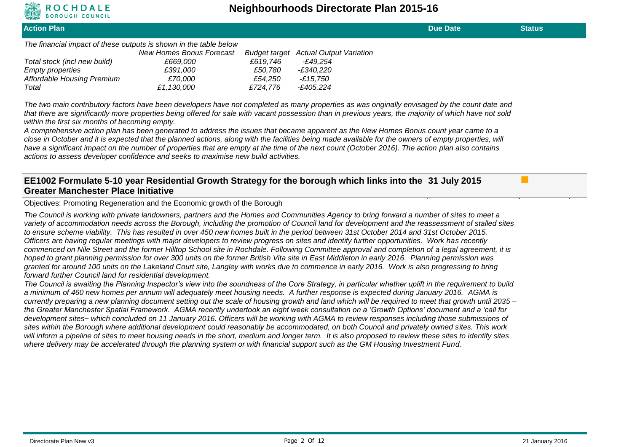

**Action Plan Due Date Status** *The financial impact of these outputs is shown in the table below New Homes Bonus Forecast Budget target Actual Output Variation Total stock (incl new build) £669,000 £619,746 -£49,254 Empty properties £391,000 £50,780 -£340,220 Affordable Housing Premium £70,000 £54,250 -£15,750 Total £1,130,000 £724,776 -£405,224 The two main contributory factors have been developers have not completed as many properties as was originally envisaged by the count date and that there are significantly more properties being offered for sale with vacant possession than in previous years, the majority of which have not sold within the first six months of becoming empty. A comprehensive action plan has been generated to address the issues that became apparent as the New Homes Bonus count year came to a close in October and it is expected that the planned actions, along with the facilities being made available for the owners of empty properties, will*  have a significant impact on the number of properties that are empty at the time of the next count (October 2016). The action plan also contains *actions to assess developer confidence and seeks to maximise new build activities.*

## **EE1002 Formulate 5-10 year Residential Growth Strategy for the borough which links into the 31 July 2015 Greater Manchester Place Initiative**

Objectives: Promoting Regeneration and the Economic growth of the Borough

*The Council is working with private landowners, partners and the Homes and Communities Agency to bring forward a number of sites to meet a variety of accommodation needs across the Borough, including the promotion of Council land for development and the reassessment of stalled sites to ensure scheme viability. This has resulted in over 450 new homes built in the period between 31st October 2014 and 31st October 2015. Officers are having regular meetings with major developers to review progress on sites and identify further opportunities. Work has recently commenced on Nile Street and the former Hilltop School site in Rochdale. Following Committee approval and completion of a legal agreement, it is hoped to grant planning permission for over 300 units on the former British Vita site in East Middleton in early 2016. Planning permission was granted for around 100 units on the Lakeland Court site, Langley with works due to commence in early 2016. Work is also progressing to bring forward further Council land for residential development.*

*The Council is awaiting the Planning Inspector's view into the soundness of the Core Strategy, in particular whether uplift in the requirement to build a minimum of 460 new homes per annum will adequately meet housing needs. A further response is expected during January 2016. AGMA is currently preparing a new planning document setting out the scale of housing growth and land which will be required to meet that growth until 2035 – the Greater Manchester Spatial Framework. AGMA recently undertook an eight week consultation on a 'Growth Options' document and a 'call for development sites~ which concluded on 11 January 2016. Officers will be working with AGMA to review responses including those submissions of sites within the Borough where additional development could reasonably be accommodated, on both Council and privately owned sites. This work will inform a pipeline of sites to meet housing needs in the short, medium and longer term. It is also proposed to review these sites to identify sites where delivery may be accelerated through the planning system or with financial support such as the GM Housing Investment Fund.*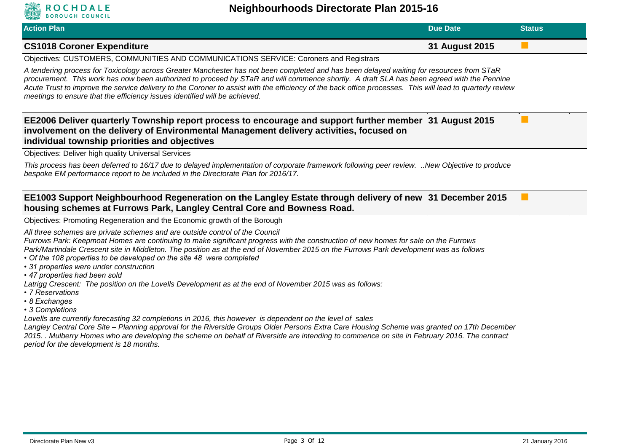

## **Neighbourhoods Directorate Plan 2015-16**

| <b>Action Plan</b>                                                                                                                                                                                                                                                                                                                                                                                                                                                                                                               | <b>Due Date</b> | <b>Status</b> |  |  |
|----------------------------------------------------------------------------------------------------------------------------------------------------------------------------------------------------------------------------------------------------------------------------------------------------------------------------------------------------------------------------------------------------------------------------------------------------------------------------------------------------------------------------------|-----------------|---------------|--|--|
| <b>CS1018 Coroner Expenditure</b>                                                                                                                                                                                                                                                                                                                                                                                                                                                                                                | 31 August 2015  |               |  |  |
| Objectives: CUSTOMERS, COMMUNITIES AND COMMUNICATIONS SERVICE: Coroners and Registrars                                                                                                                                                                                                                                                                                                                                                                                                                                           |                 |               |  |  |
| A tendering process for Toxicology across Greater Manchester has not been completed and has been delayed waiting for resources from STaR<br>procurement. This work has now been authorized to proceed by STaR and will commence shortly. A draft SLA has been agreed with the Pennine<br>Acute Trust to improve the service delivery to the Coroner to assist with the efficiency of the back office processes. This will lead to quarterly review<br>meetings to ensure that the efficiency issues identified will be achieved. |                 |               |  |  |
| EE2006 Deliver quarterly Township report process to encourage and support further member 31 August 2015<br>involvement on the delivery of Environmental Management delivery activities, focused on<br>individual township priorities and objectives                                                                                                                                                                                                                                                                              |                 |               |  |  |
| <b>Objectives: Deliver high quality Universal Services</b>                                                                                                                                                                                                                                                                                                                                                                                                                                                                       |                 |               |  |  |
| This process has been deferred to 16/17 due to delayed implementation of corporate framework following peer review. New Objective to produce<br>bespoke EM performance report to be included in the Directorate Plan for 2016/17.                                                                                                                                                                                                                                                                                                |                 |               |  |  |
| EE1003 Support Neighbourhood Regeneration on the Langley Estate through delivery of new 31 December 2015<br>housing schemes at Furrows Park, Langley Central Core and Bowness Road.                                                                                                                                                                                                                                                                                                                                              |                 |               |  |  |
| Objectives: Promoting Regeneration and the Economic growth of the Borough                                                                                                                                                                                                                                                                                                                                                                                                                                                        |                 |               |  |  |
| All three schemes are private schemes and are outside control of the Council<br>Furrows Park: Keepmoat Homes are continuing to make significant progress with the construction of new homes for sale on the Furrows<br>Park/Martindale Crescent site in Middleton. The position as at the end of November 2015 on the Furrows Park development was as follows                                                                                                                                                                    |                 |               |  |  |

- *Of the 108 properties to be developed on the site 48 were completed*
- *31 properties were under construction*
- *47 properties had been sold*

*Latrigg Crescent: The position on the Lovells Development as at the end of November 2015 was as follows:*

- *7 Reservations*
- *8 Exchanges*
- *3 Completions*

*Lovells are currently forecasting 32 completions in 2016, this however is dependent on the level of sales*

*Langley Central Core Site – Planning approval for the Riverside Groups Older Persons Extra Care Housing Scheme was granted on 17th December 2015. . Mulberry Homes who are developing the scheme on behalf of Riverside are intending to commence on site in February 2016. The contract period for the development is 18 months.*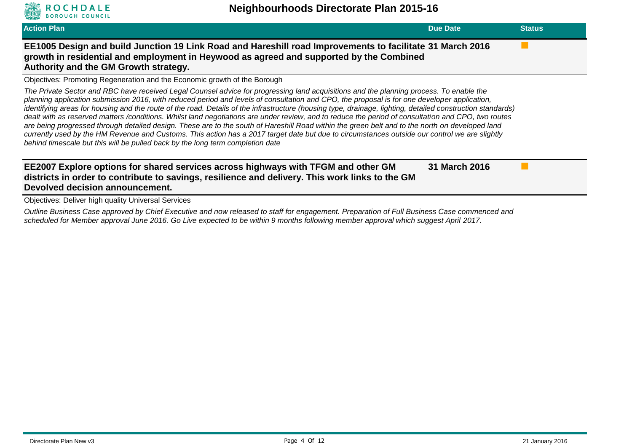

*Outline Business Case approved by Chief Executive and now released to staff for engagement. Preparation of Full Business Case commenced and scheduled for Member approval June 2016. Go Live expected to be within 9 months following member approval which suggest April 2017.*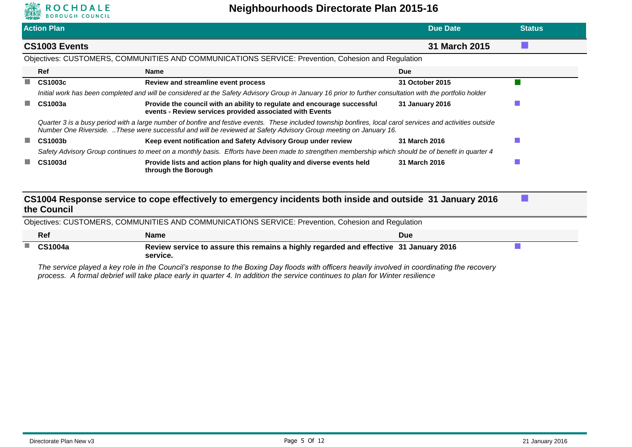

| <b>Action Plan</b>                                                                                 |                                                                                                                                                                                                                                                                                 | Due Date        | <b>Status</b> |
|----------------------------------------------------------------------------------------------------|---------------------------------------------------------------------------------------------------------------------------------------------------------------------------------------------------------------------------------------------------------------------------------|-----------------|---------------|
| CS1003 Events                                                                                      |                                                                                                                                                                                                                                                                                 | 31 March 2015   |               |
| Objectives: CUSTOMERS, COMMUNITIES AND COMMUNICATIONS SERVICE: Prevention, Cohesion and Regulation |                                                                                                                                                                                                                                                                                 |                 |               |
| <b>Ref</b>                                                                                         | Name                                                                                                                                                                                                                                                                            | <b>Due</b>      |               |
| CS1003c                                                                                            | Review and streamline event process                                                                                                                                                                                                                                             | 31 October 2015 |               |
|                                                                                                    | Initial work has been completed and will be considered at the Safety Advisory Group in January 16 prior to further consultation with the portfolio holder                                                                                                                       |                 |               |
| CS1003a                                                                                            | Provide the council with an ability to regulate and encourage successful<br>events - Review services provided associated with Events                                                                                                                                            | 31 January 2016 |               |
|                                                                                                    | Quarter 3 is a busy period with a large number of bonfire and festive events. These included township bonfires, local carol services and activities outside<br>Number One Riverside. These were successful and will be reviewed at Safety Advisory Group meeting on January 16. |                 |               |
| <b>CS1003b</b>                                                                                     | Keep event notification and Safety Advisory Group under review                                                                                                                                                                                                                  | 31 March 2016   |               |
|                                                                                                    | Safety Advisory Group continues to meet on a monthly basis. Efforts have been made to strengthen membership which should be of benefit in quarter 4                                                                                                                             |                 |               |
| <b>CS1003d</b>                                                                                     | Provide lists and action plans for high quality and diverse events held<br>through the Borough                                                                                                                                                                                  | 31 March 2016   |               |
|                                                                                                    | CS1004 Response service to cope effectively to emergency incidents both inside and outside 31 January 2016                                                                                                                                                                      |                 |               |
| the Council                                                                                        |                                                                                                                                                                                                                                                                                 |                 |               |
|                                                                                                    | Objectives: CUSTOMERS, COMMUNITIES AND COMMUNICATIONS SERVICE: Prevention, Cohesion and Regulation                                                                                                                                                                              |                 |               |
| Ref                                                                                                | <b>Name</b>                                                                                                                                                                                                                                                                     | <b>Due</b>      |               |
| <b>CS1004a</b>                                                                                     | Review service to assure this remains a highly regarded and effective 31 January 2016<br>service.                                                                                                                                                                               |                 |               |

*The service played a key role in the Council's response to the Boxing Day floods with officers heavily involved in coordinating the recovery process. A formal debrief will take place early in quarter 4. In addition the service continues to plan for Winter resilience*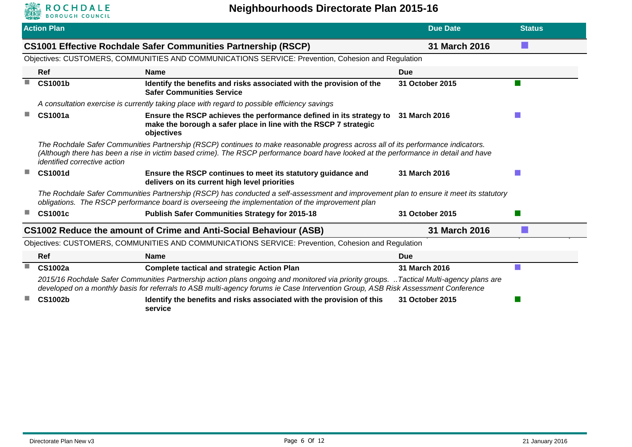

|                                                                                                                                                                                                                                                                                                                  | <b>Action Plan</b>                                                                                                                                                                                                                                                         |                                                                                                                                                                                                                                            | <b>Due Date</b> | <b>Status</b> |  |
|------------------------------------------------------------------------------------------------------------------------------------------------------------------------------------------------------------------------------------------------------------------------------------------------------------------|----------------------------------------------------------------------------------------------------------------------------------------------------------------------------------------------------------------------------------------------------------------------------|--------------------------------------------------------------------------------------------------------------------------------------------------------------------------------------------------------------------------------------------|-----------------|---------------|--|
|                                                                                                                                                                                                                                                                                                                  |                                                                                                                                                                                                                                                                            | <b>CS1001 Effective Rochdale Safer Communities Partnership (RSCP)</b>                                                                                                                                                                      | 31 March 2016   |               |  |
|                                                                                                                                                                                                                                                                                                                  | Objectives: CUSTOMERS, COMMUNITIES AND COMMUNICATIONS SERVICE: Prevention, Cohesion and Regulation                                                                                                                                                                         |                                                                                                                                                                                                                                            |                 |               |  |
|                                                                                                                                                                                                                                                                                                                  | Ref                                                                                                                                                                                                                                                                        | <b>Name</b>                                                                                                                                                                                                                                | <b>Due</b>      |               |  |
|                                                                                                                                                                                                                                                                                                                  | <b>CS1001b</b>                                                                                                                                                                                                                                                             | Identify the benefits and risks associated with the provision of the<br><b>Safer Communities Service</b>                                                                                                                                   | 31 October 2015 |               |  |
|                                                                                                                                                                                                                                                                                                                  |                                                                                                                                                                                                                                                                            | A consultation exercise is currently taking place with regard to possible efficiency savings                                                                                                                                               |                 |               |  |
|                                                                                                                                                                                                                                                                                                                  | CS1001a                                                                                                                                                                                                                                                                    | Ensure the RSCP achieves the performance defined in its strategy to<br>make the borough a safer place in line with the RSCP 7 strategic<br>objectives                                                                                      | 31 March 2016   |               |  |
| The Rochdale Safer Communities Partnership (RSCP) continues to make reasonable progress across all of its performance indicators.<br>(Although there has been a rise in victim based crime). The RSCP performance board have looked at the performance in detail and have<br><i>identified corrective action</i> |                                                                                                                                                                                                                                                                            |                                                                                                                                                                                                                                            |                 |               |  |
|                                                                                                                                                                                                                                                                                                                  | <b>CS1001d</b>                                                                                                                                                                                                                                                             | Ensure the RSCP continues to meet its statutory guidance and<br>delivers on its current high level priorities                                                                                                                              | 31 March 2016   |               |  |
|                                                                                                                                                                                                                                                                                                                  |                                                                                                                                                                                                                                                                            | The Rochdale Safer Communities Partnership (RSCP) has conducted a self-assessment and improvement plan to ensure it meet its statutory<br>obligations. The RSCP performance board is overseeing the implementation of the improvement plan |                 |               |  |
|                                                                                                                                                                                                                                                                                                                  | <b>CS1001c</b>                                                                                                                                                                                                                                                             | <b>Publish Safer Communities Strategy for 2015-18</b>                                                                                                                                                                                      | 31 October 2015 |               |  |
|                                                                                                                                                                                                                                                                                                                  |                                                                                                                                                                                                                                                                            | CS1002 Reduce the amount of Crime and Anti-Social Behaviour (ASB)                                                                                                                                                                          | 31 March 2016   |               |  |
|                                                                                                                                                                                                                                                                                                                  |                                                                                                                                                                                                                                                                            | Objectives: CUSTOMERS, COMMUNITIES AND COMMUNICATIONS SERVICE: Prevention, Cohesion and Regulation                                                                                                                                         |                 |               |  |
|                                                                                                                                                                                                                                                                                                                  | Ref                                                                                                                                                                                                                                                                        | <b>Name</b>                                                                                                                                                                                                                                | <b>Due</b>      |               |  |
|                                                                                                                                                                                                                                                                                                                  | <b>CS1002a</b>                                                                                                                                                                                                                                                             | <b>Complete tactical and strategic Action Plan</b>                                                                                                                                                                                         | 31 March 2016   |               |  |
|                                                                                                                                                                                                                                                                                                                  | 2015/16 Rochdale Safer Communities Partnership action plans ongoing and monitored via priority groups. Tactical Multi-agency plans are<br>developed on a monthly basis for referrals to ASB multi-agency forums ie Case Intervention Group, ASB Risk Assessment Conference |                                                                                                                                                                                                                                            |                 |               |  |
|                                                                                                                                                                                                                                                                                                                  | <b>CS1002b</b>                                                                                                                                                                                                                                                             | Identify the benefits and risks associated with the provision of this<br>service                                                                                                                                                           | 31 October 2015 |               |  |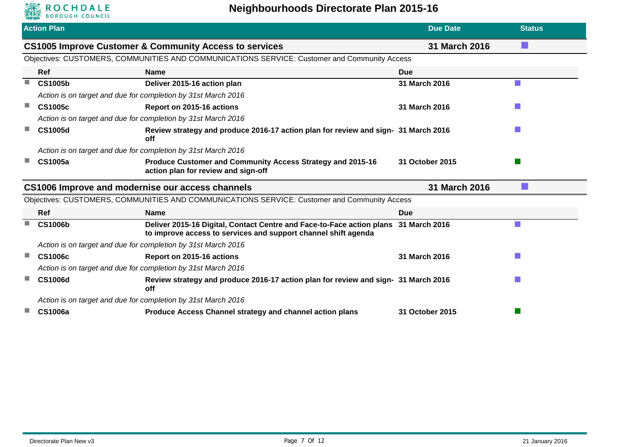

|                                                                   | <b>Action Plan</b>                                            |                                                                                                                                                       | <b>Due Date</b> | <b>Status</b> |
|-------------------------------------------------------------------|---------------------------------------------------------------|-------------------------------------------------------------------------------------------------------------------------------------------------------|-----------------|---------------|
|                                                                   |                                                               | <b>CS1005 Improve Customer &amp; Community Access to services</b>                                                                                     | 31 March 2016   |               |
|                                                                   |                                                               | Objectives: CUSTOMERS, COMMUNITIES AND COMMUNICATIONS SERVICE: Customer and Community Access                                                          |                 |               |
|                                                                   | Ref                                                           | <b>Name</b>                                                                                                                                           | <b>Due</b>      |               |
| ш                                                                 | <b>CS1005b</b>                                                | Deliver 2015-16 action plan                                                                                                                           | 31 March 2016   |               |
|                                                                   |                                                               | Action is on target and due for completion by 31st March 2016                                                                                         |                 |               |
| a l                                                               | <b>CS1005c</b>                                                | Report on 2015-16 actions                                                                                                                             | 31 March 2016   |               |
|                                                                   |                                                               | Action is on target and due for completion by 31st March 2016                                                                                         |                 |               |
| ш                                                                 | <b>CS1005d</b>                                                | Review strategy and produce 2016-17 action plan for review and sign- 31 March 2016<br>off                                                             |                 |               |
|                                                                   |                                                               | Action is on target and due for completion by 31st March 2016                                                                                         |                 |               |
|                                                                   | <b>CS1005a</b>                                                | Produce Customer and Community Access Strategy and 2015-16<br>action plan for review and sign-off                                                     | 31 October 2015 |               |
| CS1006 Improve and modernise our access channels<br>31 March 2016 |                                                               |                                                                                                                                                       |                 |               |
|                                                                   |                                                               | Objectives: CUSTOMERS, COMMUNITIES AND COMMUNICATIONS SERVICE: Customer and Community Access                                                          |                 |               |
|                                                                   | Ref                                                           | <b>Name</b>                                                                                                                                           | Due             |               |
| $\mathcal{L}_{\mathcal{A}}$                                       | <b>CS1006b</b>                                                | Deliver 2015-16 Digital, Contact Centre and Face-to-Face action plans 31 March 2016<br>to improve access to services and support channel shift agenda |                 |               |
|                                                                   |                                                               | Action is on target and due for completion by 31st March 2016                                                                                         |                 |               |
| a l                                                               | <b>CS1006c</b>                                                | Report on 2015-16 actions                                                                                                                             | 31 March 2016   |               |
|                                                                   | Action is on target and due for completion by 31st March 2016 |                                                                                                                                                       |                 |               |
| m.                                                                | <b>CS1006d</b>                                                | Review strategy and produce 2016-17 action plan for review and sign- 31 March 2016<br>off                                                             |                 |               |
|                                                                   |                                                               | Action is on target and due for completion by 31st March 2016                                                                                         |                 |               |
|                                                                   | <b>CS1006a</b>                                                | Produce Access Channel strategy and channel action plans                                                                                              | 31 October 2015 |               |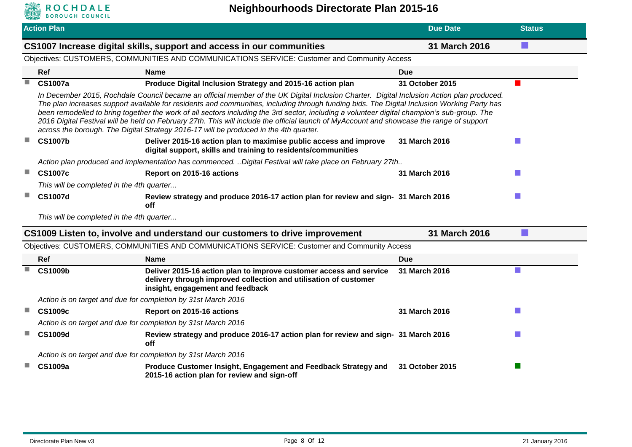

|                                                                                        | <b>Action Plan</b>                                                                                                                                                                                                                                                                                                                                                                                                                                                                                                                                                                                                                                                            |                                                                                                                                                                            | <b>Due Date</b> | <b>Status</b> |  |  |  |
|----------------------------------------------------------------------------------------|-------------------------------------------------------------------------------------------------------------------------------------------------------------------------------------------------------------------------------------------------------------------------------------------------------------------------------------------------------------------------------------------------------------------------------------------------------------------------------------------------------------------------------------------------------------------------------------------------------------------------------------------------------------------------------|----------------------------------------------------------------------------------------------------------------------------------------------------------------------------|-----------------|---------------|--|--|--|
| 31 March 2016<br>CS1007 Increase digital skills, support and access in our communities |                                                                                                                                                                                                                                                                                                                                                                                                                                                                                                                                                                                                                                                                               |                                                                                                                                                                            |                 |               |  |  |  |
|                                                                                        | Objectives: CUSTOMERS, COMMUNITIES AND COMMUNICATIONS SERVICE: Customer and Community Access                                                                                                                                                                                                                                                                                                                                                                                                                                                                                                                                                                                  |                                                                                                                                                                            |                 |               |  |  |  |
|                                                                                        | Ref                                                                                                                                                                                                                                                                                                                                                                                                                                                                                                                                                                                                                                                                           | <b>Name</b>                                                                                                                                                                | <b>Due</b>      |               |  |  |  |
| ×.                                                                                     | <b>CS1007a</b>                                                                                                                                                                                                                                                                                                                                                                                                                                                                                                                                                                                                                                                                | Produce Digital Inclusion Strategy and 2015-16 action plan                                                                                                                 | 31 October 2015 |               |  |  |  |
|                                                                                        | In December 2015, Rochdale Council became an official member of the UK Digital Inclusion Charter. Digital Inclusion Action plan produced.<br>The plan increases support available for residents and communities, including through funding bids. The Digital Inclusion Working Party has<br>been remodelled to bring together the work of all sectors including the 3rd sector, including a volunteer digital champion's sub-group. The<br>2016 Digital Festival will be held on February 27th. This will include the official launch of MyAccount and showcase the range of support<br>across the borough. The Digital Strategy 2016-17 will be produced in the 4th quarter. |                                                                                                                                                                            |                 |               |  |  |  |
| ш                                                                                      | <b>CS1007b</b>                                                                                                                                                                                                                                                                                                                                                                                                                                                                                                                                                                                                                                                                | Deliver 2015-16 action plan to maximise public access and improve<br>digital support, skills and training to residents/communities                                         | 31 March 2016   |               |  |  |  |
|                                                                                        |                                                                                                                                                                                                                                                                                                                                                                                                                                                                                                                                                                                                                                                                               | Action plan produced and implementation has commenced. Digital Festival will take place on February 27th                                                                   |                 |               |  |  |  |
| ш                                                                                      | <b>CS1007c</b>                                                                                                                                                                                                                                                                                                                                                                                                                                                                                                                                                                                                                                                                | Report on 2015-16 actions                                                                                                                                                  | 31 March 2016   |               |  |  |  |
|                                                                                        | This will be completed in the 4th quarter                                                                                                                                                                                                                                                                                                                                                                                                                                                                                                                                                                                                                                     |                                                                                                                                                                            |                 |               |  |  |  |
|                                                                                        | <b>CS1007d</b>                                                                                                                                                                                                                                                                                                                                                                                                                                                                                                                                                                                                                                                                | Review strategy and produce 2016-17 action plan for review and sign- 31 March 2016<br><b>off</b>                                                                           |                 |               |  |  |  |
|                                                                                        | This will be completed in the 4th quarter                                                                                                                                                                                                                                                                                                                                                                                                                                                                                                                                                                                                                                     |                                                                                                                                                                            |                 |               |  |  |  |
|                                                                                        |                                                                                                                                                                                                                                                                                                                                                                                                                                                                                                                                                                                                                                                                               | CS1009 Listen to, involve and understand our customers to drive improvement                                                                                                | 31 March 2016   |               |  |  |  |
|                                                                                        |                                                                                                                                                                                                                                                                                                                                                                                                                                                                                                                                                                                                                                                                               | Objectives: CUSTOMERS, COMMUNITIES AND COMMUNICATIONS SERVICE: Customer and Community Access                                                                               |                 |               |  |  |  |
|                                                                                        | Ref                                                                                                                                                                                                                                                                                                                                                                                                                                                                                                                                                                                                                                                                           | <b>Name</b>                                                                                                                                                                | <b>Due</b>      |               |  |  |  |
| п                                                                                      | <b>CS1009b</b>                                                                                                                                                                                                                                                                                                                                                                                                                                                                                                                                                                                                                                                                | Deliver 2015-16 action plan to improve customer access and service<br>delivery through improved collection and utilisation of customer<br>insight, engagement and feedback | 31 March 2016   |               |  |  |  |
|                                                                                        |                                                                                                                                                                                                                                                                                                                                                                                                                                                                                                                                                                                                                                                                               | Action is on target and due for completion by 31st March 2016                                                                                                              |                 |               |  |  |  |
| $\mathcal{L}_{\mathcal{A}}$                                                            | <b>CS1009c</b>                                                                                                                                                                                                                                                                                                                                                                                                                                                                                                                                                                                                                                                                | Report on 2015-16 actions                                                                                                                                                  | 31 March 2016   |               |  |  |  |
|                                                                                        |                                                                                                                                                                                                                                                                                                                                                                                                                                                                                                                                                                                                                                                                               | Action is on target and due for completion by 31st March 2016                                                                                                              |                 |               |  |  |  |
|                                                                                        | <b>CS1009d</b>                                                                                                                                                                                                                                                                                                                                                                                                                                                                                                                                                                                                                                                                | Review strategy and produce 2016-17 action plan for review and sign- 31 March 2016<br>off                                                                                  |                 |               |  |  |  |
|                                                                                        |                                                                                                                                                                                                                                                                                                                                                                                                                                                                                                                                                                                                                                                                               | Action is on target and due for completion by 31st March 2016                                                                                                              |                 |               |  |  |  |
|                                                                                        | <b>CS1009a</b>                                                                                                                                                                                                                                                                                                                                                                                                                                                                                                                                                                                                                                                                | Produce Customer Insight, Engagement and Feedback Strategy and<br>2015-16 action plan for review and sign-off                                                              | 31 October 2015 |               |  |  |  |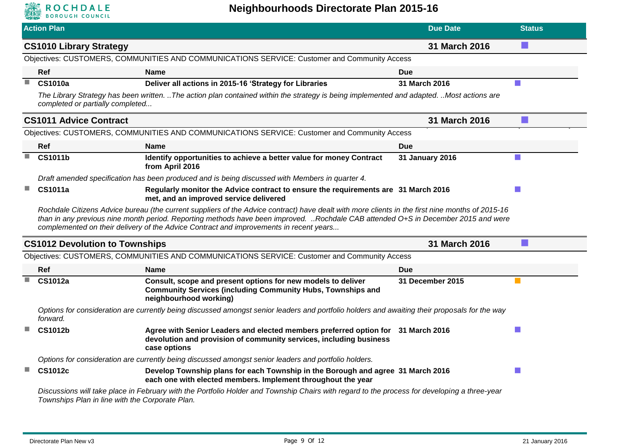

|                             | <b>Action Plan</b>                              |                                                                                                                                                                                                                                                                                                                                                                                | <b>Due Date</b>  | <b>Status</b> |
|-----------------------------|-------------------------------------------------|--------------------------------------------------------------------------------------------------------------------------------------------------------------------------------------------------------------------------------------------------------------------------------------------------------------------------------------------------------------------------------|------------------|---------------|
|                             | <b>CS1010 Library Strategy</b>                  |                                                                                                                                                                                                                                                                                                                                                                                | 31 March 2016    |               |
|                             |                                                 | Objectives: CUSTOMERS, COMMUNITIES AND COMMUNICATIONS SERVICE: Customer and Community Access                                                                                                                                                                                                                                                                                   |                  |               |
|                             | Ref                                             | <b>Name</b>                                                                                                                                                                                                                                                                                                                                                                    | Due              |               |
| m.                          | <b>CS1010a</b>                                  | Deliver all actions in 2015-16 'Strategy for Libraries                                                                                                                                                                                                                                                                                                                         | 31 March 2016    |               |
|                             | completed or partially completed                | The Library Strategy has been written. The action plan contained within the strategy is being implemented and adapted. Most actions are                                                                                                                                                                                                                                        |                  |               |
|                             | <b>CS1011 Advice Contract</b>                   |                                                                                                                                                                                                                                                                                                                                                                                | 31 March 2016    |               |
|                             |                                                 | Objectives: CUSTOMERS, COMMUNITIES AND COMMUNICATIONS SERVICE: Customer and Community Access                                                                                                                                                                                                                                                                                   |                  |               |
|                             | <b>Ref</b>                                      | <b>Name</b>                                                                                                                                                                                                                                                                                                                                                                    | Due              |               |
| $\mathcal{L}_{\mathcal{A}}$ | <b>CS1011b</b>                                  | Identify opportunities to achieve a better value for money Contract<br>from April 2016                                                                                                                                                                                                                                                                                         | 31 January 2016  |               |
|                             |                                                 | Draft amended specification has been produced and is being discussed with Members in quarter 4.                                                                                                                                                                                                                                                                                |                  |               |
| $\mathcal{L}_{\mathcal{A}}$ | <b>CS1011a</b>                                  | Regularly monitor the Advice contract to ensure the requirements are 31 March 2016<br>met, and an improved service delivered                                                                                                                                                                                                                                                   |                  |               |
|                             |                                                 | Rochdale Citizens Advice bureau (the current suppliers of the Advice contract) have dealt with more clients in the first nine months of 2015-16<br>than in any previous nine month period. Reporting methods have been improved. Rochdale CAB attended O+S in December 2015 and were<br>complemented on their delivery of the Advice Contract and improvements in recent years |                  |               |
|                             | <b>CS1012 Devolution to Townships</b>           |                                                                                                                                                                                                                                                                                                                                                                                | 31 March 2016    |               |
|                             |                                                 | Objectives: CUSTOMERS, COMMUNITIES AND COMMUNICATIONS SERVICE: Customer and Community Access                                                                                                                                                                                                                                                                                   |                  |               |
|                             | Ref                                             | <b>Name</b>                                                                                                                                                                                                                                                                                                                                                                    | <b>Due</b>       |               |
| m.                          | <b>CS1012a</b>                                  | Consult, scope and present options for new models to deliver<br><b>Community Services (including Community Hubs, Townships and</b><br>neighbourhood working)                                                                                                                                                                                                                   | 31 December 2015 |               |
|                             | forward.                                        | Options for consideration are currently being discussed amongst senior leaders and portfolio holders and awaiting their proposals for the way                                                                                                                                                                                                                                  |                  |               |
|                             | <b>CS1012b</b>                                  | Agree with Senior Leaders and elected members preferred option for 31 March 2016<br>devolution and provision of community services, including business<br>case options                                                                                                                                                                                                         |                  |               |
|                             |                                                 | Options for consideration are currently being discussed amongst senior leaders and portfolio holders.                                                                                                                                                                                                                                                                          |                  |               |
| m.                          | <b>CS1012c</b>                                  | Develop Township plans for each Township in the Borough and agree 31 March 2016<br>each one with elected members. Implement throughout the year                                                                                                                                                                                                                                |                  |               |
|                             | Townships Plan in line with the Corporate Plan. | Discussions will take place in February with the Portfolio Holder and Township Chairs with regard to the process for developing a three-year                                                                                                                                                                                                                                   |                  |               |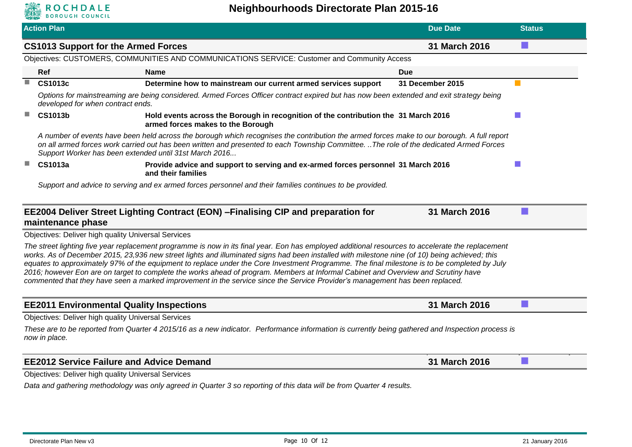

|   | <b>Action Plan</b>                                                                                       |                                                                                                                       | <b>Due Date</b>                                                                                                                                                                                                                                                                                                                                                                                                                                                                                                                                                                                                                                                                                                           | <b>Status</b> |  |
|---|----------------------------------------------------------------------------------------------------------|-----------------------------------------------------------------------------------------------------------------------|---------------------------------------------------------------------------------------------------------------------------------------------------------------------------------------------------------------------------------------------------------------------------------------------------------------------------------------------------------------------------------------------------------------------------------------------------------------------------------------------------------------------------------------------------------------------------------------------------------------------------------------------------------------------------------------------------------------------------|---------------|--|
|   | <b>CS1013 Support for the Armed Forces</b>                                                               |                                                                                                                       | 31 March 2016                                                                                                                                                                                                                                                                                                                                                                                                                                                                                                                                                                                                                                                                                                             |               |  |
|   |                                                                                                          | Objectives: CUSTOMERS, COMMUNITIES AND COMMUNICATIONS SERVICE: Customer and Community Access                          |                                                                                                                                                                                                                                                                                                                                                                                                                                                                                                                                                                                                                                                                                                                           |               |  |
|   | Ref                                                                                                      | <b>Name</b>                                                                                                           | <b>Due</b>                                                                                                                                                                                                                                                                                                                                                                                                                                                                                                                                                                                                                                                                                                                |               |  |
| H | <b>CS1013c</b>                                                                                           | Determine how to mainstream our current armed services support                                                        | 31 December 2015                                                                                                                                                                                                                                                                                                                                                                                                                                                                                                                                                                                                                                                                                                          |               |  |
|   | developed for when contract ends.                                                                        |                                                                                                                       | Options for mainstreaming are being considered. Armed Forces Officer contract expired but has now been extended and exit strategy being                                                                                                                                                                                                                                                                                                                                                                                                                                                                                                                                                                                   |               |  |
| ш | <b>CS1013b</b>                                                                                           | armed forces makes to the Borough                                                                                     | Hold events across the Borough in recognition of the contribution the 31 March 2016                                                                                                                                                                                                                                                                                                                                                                                                                                                                                                                                                                                                                                       |               |  |
|   |                                                                                                          | Support Worker has been extended until 31st March 2016                                                                | A number of events have been held across the borough which recognises the contribution the armed forces make to our borough. A full report<br>on all armed forces work carried out has been written and presented to each Township Committee. The role of the dedicated Armed Forces                                                                                                                                                                                                                                                                                                                                                                                                                                      |               |  |
| u | <b>CS1013a</b>                                                                                           | and their families                                                                                                    | Provide advice and support to serving and ex-armed forces personnel 31 March 2016                                                                                                                                                                                                                                                                                                                                                                                                                                                                                                                                                                                                                                         |               |  |
|   | Support and advice to serving and ex armed forces personnel and their families continues to be provided. |                                                                                                                       |                                                                                                                                                                                                                                                                                                                                                                                                                                                                                                                                                                                                                                                                                                                           |               |  |
|   | maintenance phase                                                                                        | EE2004 Deliver Street Lighting Contract (EON) - Finalising CIP and preparation for                                    | 31 March 2016                                                                                                                                                                                                                                                                                                                                                                                                                                                                                                                                                                                                                                                                                                             |               |  |
|   | <b>Objectives: Deliver high quality Universal Services</b>                                               |                                                                                                                       |                                                                                                                                                                                                                                                                                                                                                                                                                                                                                                                                                                                                                                                                                                                           |               |  |
|   |                                                                                                          |                                                                                                                       | The street lighting five year replacement programme is now in its final year. Eon has employed additional resources to accelerate the replacement<br>works. As of December 2015, 23,936 new street lights and illuminated signs had been installed with milestone nine (of 10) being achieved; this<br>equates to approximately 97% of the equipment to replace under the Core Investment Programme. The final milestone is to be completed by July<br>2016; however Eon are on target to complete the works ahead of program. Members at Informal Cabinet and Overview and Scrutiny have<br>commented that they have seen a marked improvement in the service since the Service Provider's management has been replaced. |               |  |
|   |                                                                                                          | <b>EE2011 Environmental Quality Inspections</b>                                                                       | 31 March 2016                                                                                                                                                                                                                                                                                                                                                                                                                                                                                                                                                                                                                                                                                                             |               |  |
|   | <b>Objectives: Deliver high quality Universal Services</b>                                               |                                                                                                                       |                                                                                                                                                                                                                                                                                                                                                                                                                                                                                                                                                                                                                                                                                                                           |               |  |
|   | now in place.                                                                                            |                                                                                                                       | These are to be reported from Quarter 4 2015/16 as a new indicator. Performance information is currently being gathered and Inspection process is                                                                                                                                                                                                                                                                                                                                                                                                                                                                                                                                                                         |               |  |
|   |                                                                                                          | <b>EE2012 Service Failure and Advice Demand</b>                                                                       | 31 March 2016                                                                                                                                                                                                                                                                                                                                                                                                                                                                                                                                                                                                                                                                                                             |               |  |
|   | <b>Objectives: Deliver high quality Universal Services</b>                                               |                                                                                                                       |                                                                                                                                                                                                                                                                                                                                                                                                                                                                                                                                                                                                                                                                                                                           |               |  |
|   |                                                                                                          | Data and gathering methodology was only agreed in Quarter 3 so reporting of this data will be from Quarter 4 results. |                                                                                                                                                                                                                                                                                                                                                                                                                                                                                                                                                                                                                                                                                                                           |               |  |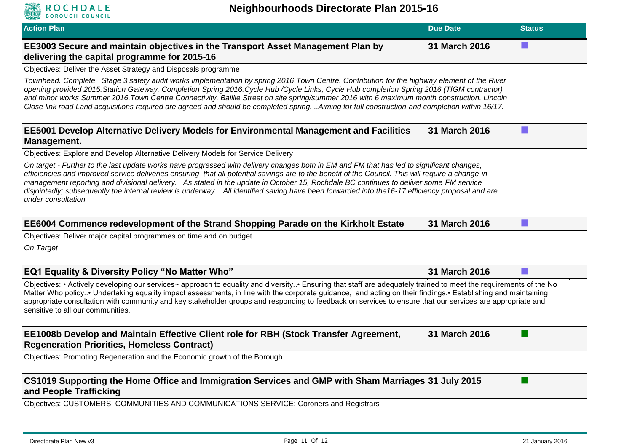